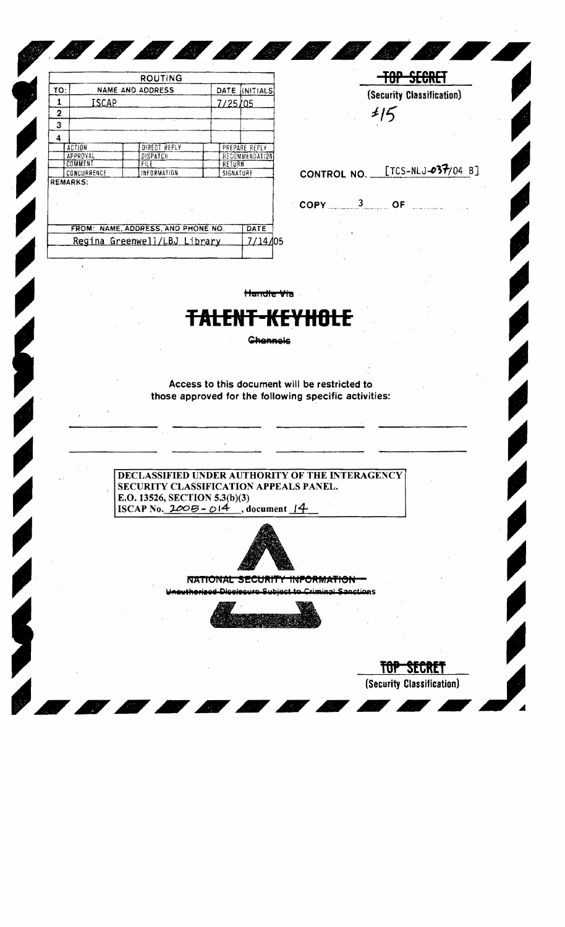|     |                 | ROUTING                            |           |                |
|-----|-----------------|------------------------------------|-----------|----------------|
| TO: |                 | NAME AND ADDRESS                   | DATE      | INITIALS       |
| 1   | ISCAP           |                                    | 7/25/05   |                |
| 2   |                 |                                    |           |                |
| 3   |                 |                                    |           |                |
| 4   |                 |                                    |           |                |
|     | <b>ACTION</b>   | DIRECT REPLY                       |           | PREPARE REPLY  |
|     | APPROVAL        | DISPATCH                           |           | RECOMMENDATION |
|     | COMMENT         | FILE                               | RETURN    |                |
|     | CONCURRENCE     | INFORMATION                        | SIGNATURE |                |
|     | <b>REMARKS:</b> |                                    |           |                |
|     |                 |                                    |           |                |
|     |                 | FROM: NAME, ADDRESS, AND PHONE NO. |           | DATE           |

<u> Alexander de la provincia de la provincia de la provincia de la provincia de la provincia de la provincia de la provincia de la provincia de la provincia de la provincia de la provincia de la provincia de la provincia de</u>

 $15$ CONTROL NO. [TCS-NLJ-037/04 B]

> TOP SECRET (Security Classification)

**TOP SEGRET** (Security Classification)

 $COPY$  3 of  $\ldots$ 

pØ

**By** 

Handle Via

**Channels** 

Access to this document will be restricted to those approved for the following specific activities:

DECLASSIFIED UNDER AUTHORITY OF THE INTERAGENCY SECURITY CLASSIFICATION APPEALS PANEL. E.O. 13526, SECTION 5.3(b)(3) ISCAP No.  $2005 - 014$ , document 14



NATIONAL SECURITY INFORMATION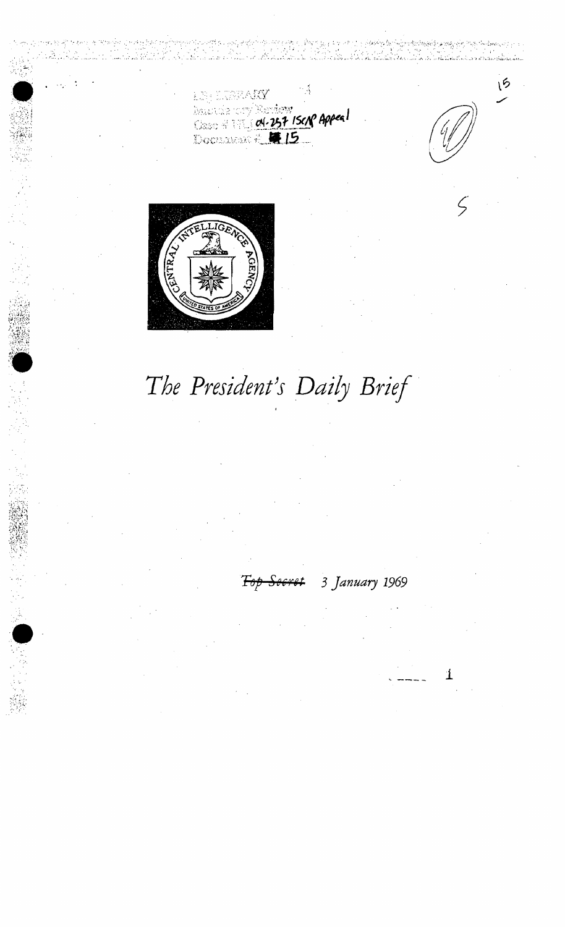n TRUAIS **Naurice Victory**<br>Class # 01.257 ISCN Appeal

rap'

15

The President's Daily Brief

3 January 1969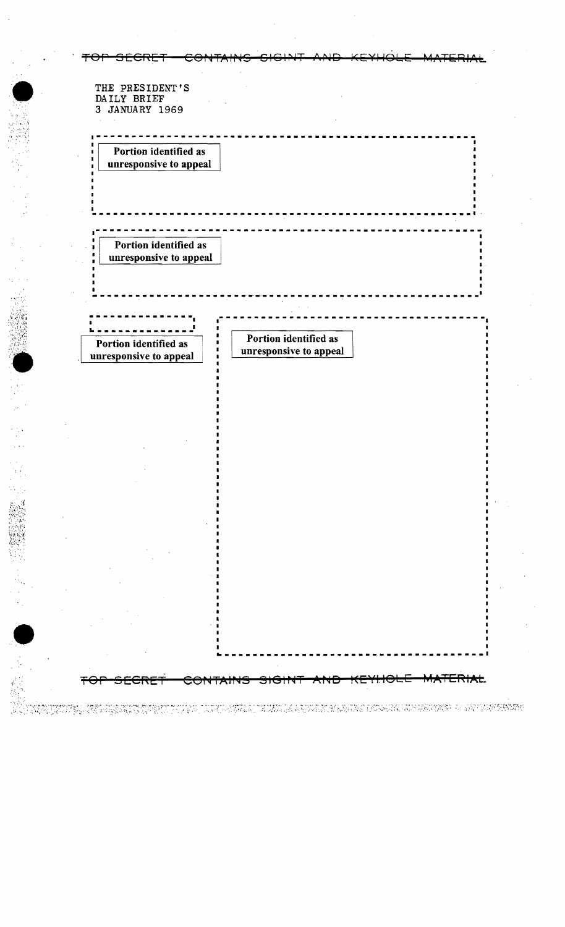| THE PRESIDENT'S               |                                                 |  |
|-------------------------------|-------------------------------------------------|--|
| DAILY BRIEF<br>3 JANUARY 1969 |                                                 |  |
|                               |                                                 |  |
|                               |                                                 |  |
| Portion identified as         |                                                 |  |
| unresponsive to appeal        |                                                 |  |
|                               |                                                 |  |
|                               |                                                 |  |
|                               |                                                 |  |
|                               |                                                 |  |
| Portion identified as         |                                                 |  |
| unresponsive to appeal        |                                                 |  |
|                               |                                                 |  |
|                               |                                                 |  |
|                               |                                                 |  |
|                               |                                                 |  |
| Portion identified as         | Portion identified as<br>unresponsive to appeal |  |
| unresponsive to appeal        |                                                 |  |
|                               |                                                 |  |
|                               |                                                 |  |
|                               |                                                 |  |
|                               |                                                 |  |
|                               |                                                 |  |
|                               |                                                 |  |
|                               |                                                 |  |
|                               |                                                 |  |
|                               |                                                 |  |
|                               |                                                 |  |
|                               |                                                 |  |
|                               |                                                 |  |
|                               |                                                 |  |
|                               |                                                 |  |
|                               |                                                 |  |
|                               |                                                 |  |
|                               |                                                 |  |
|                               |                                                 |  |
|                               |                                                 |  |

 $\bar{z}$ 

19

 $\gamma_{\rm{10}}$  $\frac{1}{2}$ 

RA NITETING KELURUK KURING TI PARA JULAN KARA JALAN SA KIWA KURING KAWARA WASA PERTA DI SUNGA KENDEL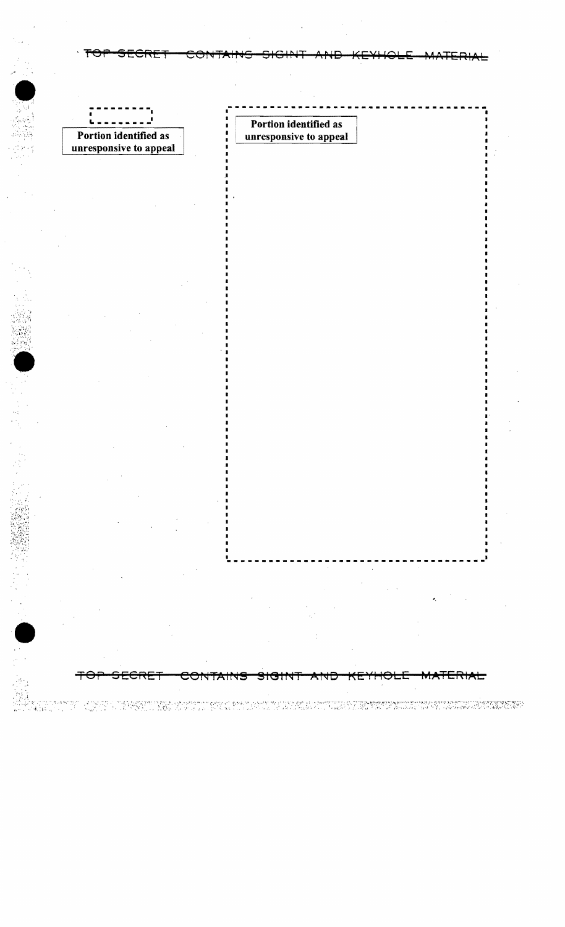$\overline{ }$ ī Portion identified as Ł Portion identified as unresponsive to appeal unresponsive to appeal Ŧ <del>SECRE1</del> <del>MATERIAL.</del> ⇔ CONTAINS <del>sigint</del> 

i da da masa kasa sa mga mga kasan ng mga pandang ng mga ng mga ng pang ng mga mga ng mga mga mga mangang ng n<br>Ting sa sa salalang ng mga digmado sa sa sa sa sa sa sa sa sa ng mga ng mga ng mga mga mang sa sa sa sa sa san